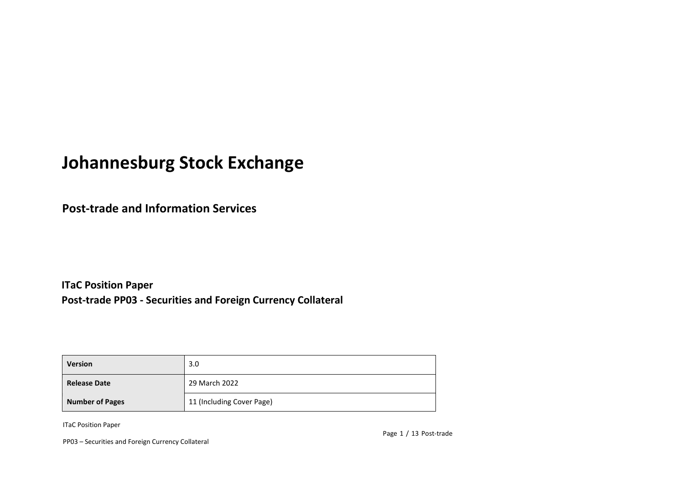# **Johannesburg Stock Exchange**

**Post-trade and Information Services** 

**ITaC Position Paper Post-trade PP03 - Securities and Foreign Currency Collateral**

| <b>Version</b>         | 3.0                       |
|------------------------|---------------------------|
| <b>Release Date</b>    | 29 March 2022             |
| <b>Number of Pages</b> | 11 (Including Cover Page) |

ITaC Position Paper

PP03 – Securities and Foreign Currency Collateral

Page 1 / 13 Post-trade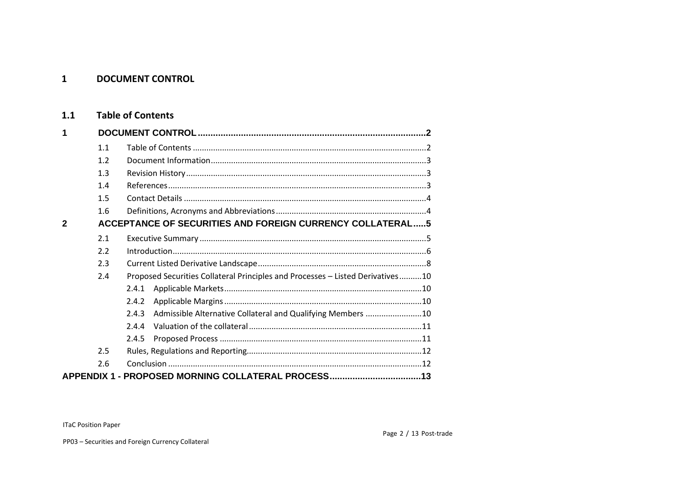#### <span id="page-1-0"></span> $\mathbf{1}$ **DOCUMENT CONTROL**

#### <span id="page-1-1"></span>**Table of Contents**  $1.1$

| 1            |                                                                  |                                                                                |  |  |
|--------------|------------------------------------------------------------------|--------------------------------------------------------------------------------|--|--|
|              | 1.1                                                              |                                                                                |  |  |
|              | 1.2                                                              |                                                                                |  |  |
|              | 1.3                                                              |                                                                                |  |  |
|              | 1.4                                                              |                                                                                |  |  |
|              | 1.5                                                              |                                                                                |  |  |
|              | 1.6                                                              |                                                                                |  |  |
| $\mathbf{2}$ | <b>ACCEPTANCE OF SECURITIES AND FOREIGN CURRENCY COLLATERAL5</b> |                                                                                |  |  |
|              | 2.1                                                              |                                                                                |  |  |
|              | 2.2                                                              |                                                                                |  |  |
|              | 2.3                                                              |                                                                                |  |  |
|              | 2.4                                                              | Proposed Securities Collateral Principles and Processes - Listed Derivatives10 |  |  |
|              |                                                                  | 2.4.1                                                                          |  |  |
|              |                                                                  | 2.4.2                                                                          |  |  |
|              |                                                                  | Admissible Alternative Collateral and Qualifying Members 10<br>2.4.3           |  |  |
|              |                                                                  | 7.4.4                                                                          |  |  |
|              |                                                                  | 2.4.5                                                                          |  |  |
|              | 2.5                                                              |                                                                                |  |  |
|              | 2.6                                                              |                                                                                |  |  |
|              |                                                                  | APPENDIX 1 - PROPOSED MORNING COLLATERAL PROCESS13                             |  |  |

**ITaC Position Paper**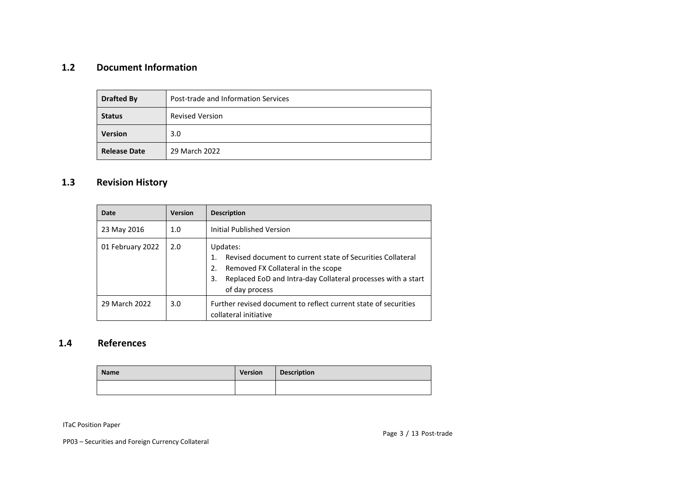### <span id="page-2-0"></span>**1.2 Document Information**

| <b>Drafted By</b>   | Post-trade and Information Services |  |
|---------------------|-------------------------------------|--|
| <b>Status</b>       | <b>Revised Version</b>              |  |
| <b>Version</b>      | 3.0                                 |  |
| <b>Release Date</b> | 29 March 2022                       |  |

### <span id="page-2-1"></span>**1.3 Revision History**

| Date             | <b>Version</b> | <b>Description</b>                                                                                                                                                                                         |  |
|------------------|----------------|------------------------------------------------------------------------------------------------------------------------------------------------------------------------------------------------------------|--|
| 23 May 2016      | 1.0            | Initial Published Version                                                                                                                                                                                  |  |
| 01 February 2022 | 2.0            | Updates:<br>Revised document to current state of Securities Collateral<br>Removed FX Collateral in the scope<br>2.<br>Replaced EoD and Intra-day Collateral processes with a start<br>3.<br>of day process |  |
| 29 March 2022    | 3.0            | Further revised document to reflect current state of securities<br>collateral initiative                                                                                                                   |  |

### <span id="page-2-2"></span>**1.4 References**

| <b>Name</b> | <b>Version</b> | <b>Description</b> |
|-------------|----------------|--------------------|
|             |                |                    |

ITaC Position Paper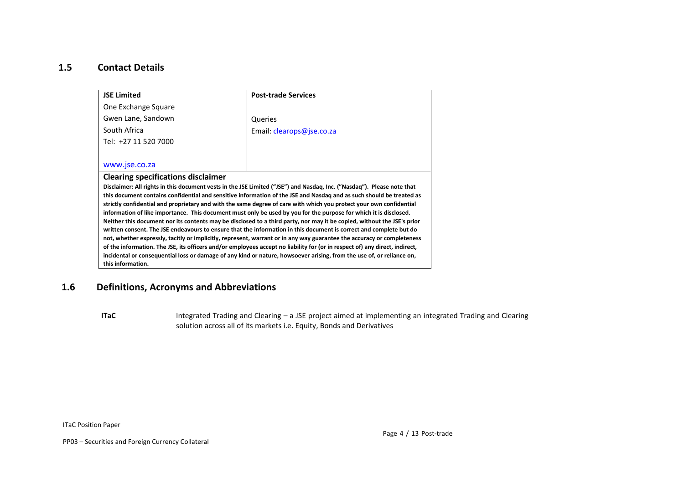### <span id="page-3-0"></span>**1.5 Contact Details**

| <b>JSE Limited</b>                                                                                                                                                                                                                       | <b>Post-trade Services</b> |  |  |  |
|------------------------------------------------------------------------------------------------------------------------------------------------------------------------------------------------------------------------------------------|----------------------------|--|--|--|
| One Exchange Square                                                                                                                                                                                                                      |                            |  |  |  |
| Gwen Lane, Sandown                                                                                                                                                                                                                       | Queries                    |  |  |  |
| South Africa                                                                                                                                                                                                                             | Email: clearops@jse.co.za  |  |  |  |
| Tel: +27 11 520 7000                                                                                                                                                                                                                     |                            |  |  |  |
|                                                                                                                                                                                                                                          |                            |  |  |  |
| www.jse.co.za                                                                                                                                                                                                                            |                            |  |  |  |
| <b>Clearing specifications disclaimer</b>                                                                                                                                                                                                |                            |  |  |  |
| Disclaimer: All rights in this document vests in the JSE Limited ("JSE") and Nasdaq, Inc. ("Nasdaq"). Please note that                                                                                                                   |                            |  |  |  |
| this document contains confidential and sensitive information of the JSE and Nasdaq and as such should be treated as                                                                                                                     |                            |  |  |  |
| strictly confidential and proprietary and with the same degree of care with which you protect your own confidential<br>information of like importance. This document must only be used by you for the purpose for which it is disclosed. |                            |  |  |  |
| Neither this document nor its contents may be disclosed to a third party, nor may it be copied, without the JSE's prior                                                                                                                  |                            |  |  |  |
| written consent. The JSE endeavours to ensure that the information in this document is correct and complete but do                                                                                                                       |                            |  |  |  |
| not, whether expressly, tacitly or implicitly, represent, warrant or in any way guarantee the accuracy or completeness                                                                                                                   |                            |  |  |  |
| of the information. The JSE, its officers and/or employees accept no liability for (or in respect of) any direct, indirect,                                                                                                              |                            |  |  |  |
| incidental or consequential loss or damage of any kind or nature, howsoever arising, from the use of, or reliance on,                                                                                                                    |                            |  |  |  |
| this information.                                                                                                                                                                                                                        |                            |  |  |  |

### <span id="page-3-1"></span>**1.6 Definitions, Acronyms and Abbreviations**

ITaC **Integrated Trading and Clearing – a JSE** project aimed at implementing an integrated Trading and Clearing solution across all of its markets i.e. Equity, Bonds and Derivatives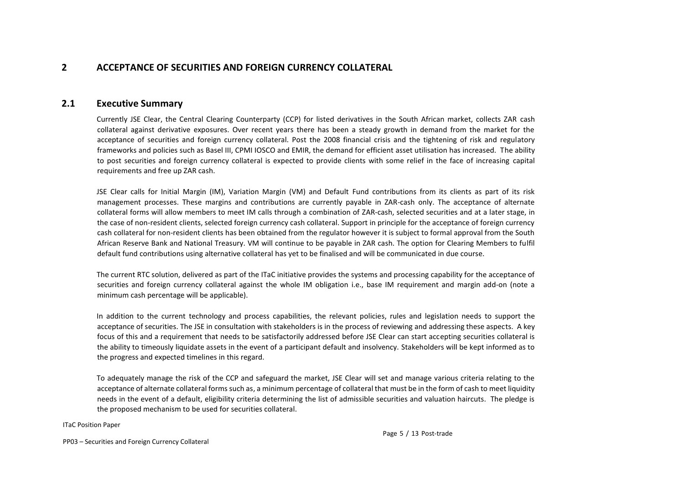### <span id="page-4-0"></span>**2 ACCEPTANCE OF SECURITIES AND FOREIGN CURRENCY COLLATERAL**

### <span id="page-4-1"></span>**2.1 Executive Summary**

Currently JSE Clear, the Central Clearing Counterparty (CCP) for listed derivatives in the South African market, collects ZAR cash collateral against derivative exposures. Over recent years there has been a steady growth in demand from the market for the acceptance of securities and foreign currency collateral. Post the 2008 financial crisis and the tightening of risk and regulatory frameworks and policies such as Basel III, CPMI IOSCO and EMIR, the demand for efficient asset utilisation has increased. The ability to post securities and foreign currency collateral is expected to provide clients with some relief in the face of increasing capital requirements and free up ZAR cash.

JSE Clear calls for Initial Margin (IM), Variation Margin (VM) and Default Fund contributions from its clients as part of its risk management processes. These margins and contributions are currently payable in ZAR-cash only. The acceptance of alternate collateral forms will allow members to meet IM calls through a combination of ZAR-cash, selected securities and at a later stage, in the case of non-resident clients, selected foreign currency cash collateral. Support in principle for the acceptance of foreign currency cash collateral for non-resident clients has been obtained from the regulator however it is subject to formal approval from the South African Reserve Bank and National Treasury. VM will continue to be payable in ZAR cash. The option for Clearing Members to fulfil default fund contributions using alternative collateral has yet to be finalised and will be communicated in due course.

The current RTC solution, delivered as part of the ITaC initiative provides the systems and processing capability for the acceptance of securities and foreign currency collateral against the whole IM obligation i.e., base IM requirement and margin add-on (note a minimum cash percentage will be applicable).

In addition to the current technology and process capabilities, the relevant policies, rules and legislation needs to support the acceptance of securities. The JSE in consultation with stakeholders is in the process of reviewing and addressing these aspects. A key focus of this and a requirement that needs to be satisfactorily addressed before JSE Clear can start accepting securities collateral is the ability to timeously liquidate assets in the event of a participant default and insolvency. Stakeholders will be kept informed as to the progress and expected timelines in this regard.

To adequately manage the risk of the CCP and safeguard the market, JSE Clear will set and manage various criteria relating to the acceptance of alternate collateral forms such as, a minimum percentage of collateral that must be in the form of cash to meet liquidity needs in the event of a default, eligibility criteria determining the list of admissible securities and valuation haircuts. The pledge is the proposed mechanism to be used for securities collateral.

ITaC Position Paper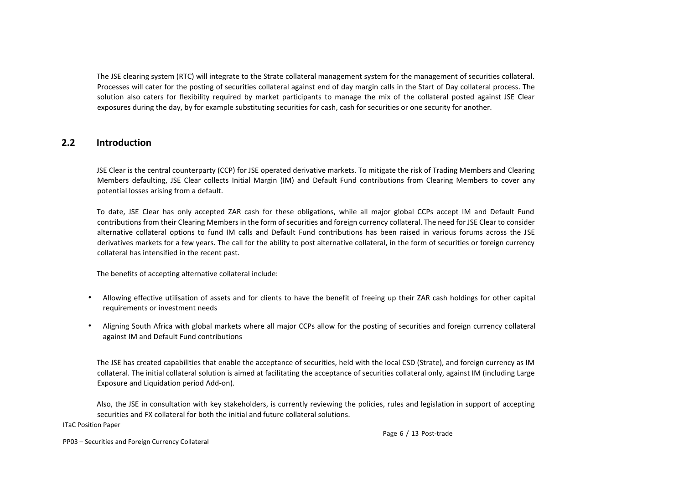The JSE clearing system (RTC) will integrate to the Strate collateral management system for the management of securities collateral. Processes will cater for the posting of securities collateral against end of day margin calls in the Start of Day collateral process. The solution also caters for flexibility required by market participants to manage the mix of the collateral posted against JSE Clear exposures during the day, by for example substituting securities for cash, cash for securities or one security for another.

### <span id="page-5-0"></span>**2.2 Introduction**

JSE Clear is the central counterparty (CCP) for JSE operated derivative markets. To mitigate the risk of Trading Members and Clearing Members defaulting, JSE Clear collects Initial Margin (IM) and Default Fund contributions from Clearing Members to cover any potential losses arising from a default.

To date, JSE Clear has only accepted ZAR cash for these obligations, while all major global CCPs accept IM and Default Fund contributions from their Clearing Members in the form of securities and foreign currency collateral. The need for JSE Clear to consider alternative collateral options to fund IM calls and Default Fund contributions has been raised in various forums across the JSE derivatives markets for a few years. The call for the ability to post alternative collateral, in the form of securities or foreign currency collateral has intensified in the recent past.

The benefits of accepting alternative collateral include:

- Allowing effective utilisation of assets and for clients to have the benefit of freeing up their ZAR cash holdings for other capital requirements or investment needs
- Aligning South Africa with global markets where all major CCPs allow for the posting of securities and foreign currency collateral against IM and Default Fund contributions

The JSE has created capabilities that enable the acceptance of securities, held with the local CSD (Strate), and foreign currency as IM collateral. The initial collateral solution is aimed at facilitating the acceptance of securities collateral only, against IM (including Large Exposure and Liquidation period Add-on).

Also, the JSE in consultation with key stakeholders, is currently reviewing the policies, rules and legislation in support of accepting securities and FX collateral for both the initial and future collateral solutions.

ITaC Position Paper

Page 6 / 13 Post-trade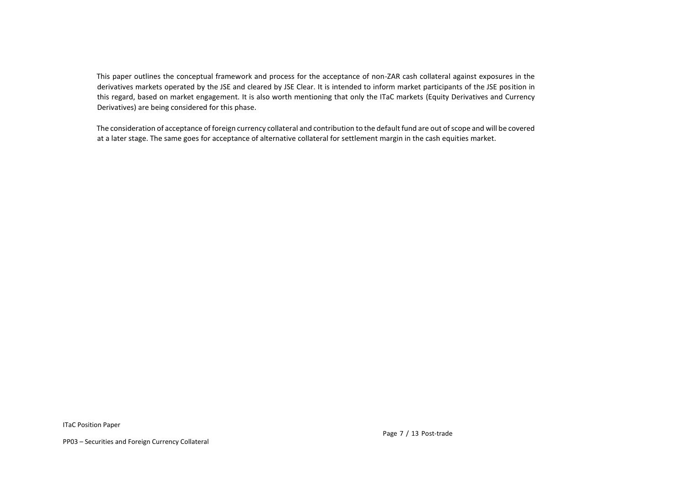This paper outlines the conceptual framework and process for the acceptance of non-ZAR cash collateral against exposures in the derivatives markets operated by the JSE and cleared by JSE Clear. It is intended to inform market participants of the JSE position in this regard, based on market engagement. It is also worth mentioning that only the ITaC markets (Equity Derivatives and Currency Derivatives) are being considered for this phase.

The consideration of acceptance of foreign currency collateral and contribution to the default fund are out ofscope and will be covered at a later stage. The same goes for acceptance of alternative collateral for settlement margin in the cash equities market.

ITaC Position Paper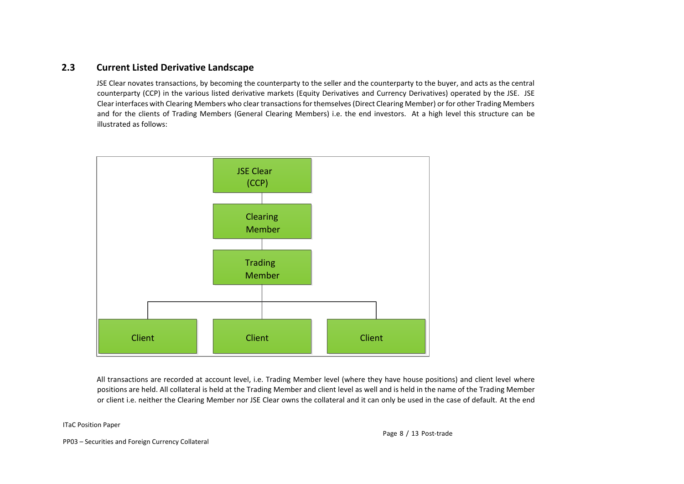### <span id="page-7-0"></span>**2.3 Current Listed Derivative Landscape**

JSE Clear novates transactions, by becoming the counterparty to the seller and the counterparty to the buyer, and acts as the central counterparty (CCP) in the various listed derivative markets (Equity Derivatives and Currency Derivatives) operated by the JSE. JSE Clear interfaces with Clearing Members who clear transactions for themselves (Direct Clearing Member) or for other Trading Members and for the clients of Trading Members (General Clearing Members) i.e. the end investors. At a high level this structure can be illustrated as follows:



All transactions are recorded at account level, i.e. Trading Member level (where they have house positions) and client level where positions are held. All collateral is held at the Trading Member and client level as well and is held in the name of the Trading Member or client i.e. neither the Clearing Member nor JSE Clear owns the collateral and it can only be used in the case of default. At the end

#### ITaC Position Paper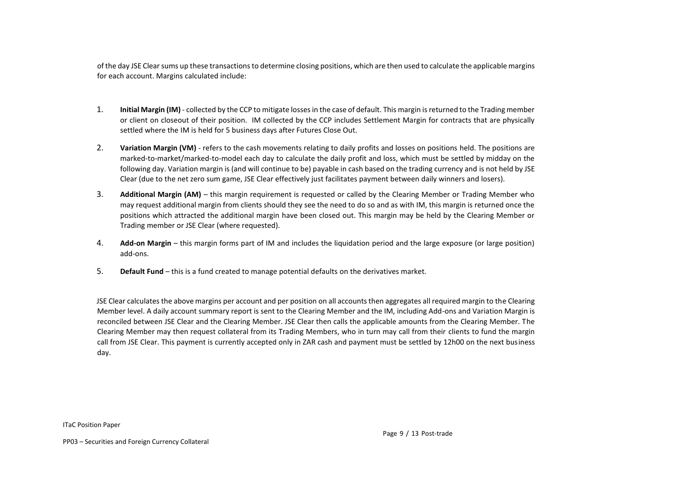of the day JSE Clear sums up these transactions to determine closing positions, which are then used to calculate the applicable margins for each account. Margins calculated include:

- 1. **Initial Margin (IM)** collected by the CCP to mitigate losses in the case of default. This margin is returned to the Trading member or client on closeout of their position. IM collected by the CCP includes Settlement Margin for contracts that are physically settled where the IM is held for 5 business days after Futures Close Out.
- 2. **Variation Margin (VM)** refers to the cash movements relating to daily profits and losses on positions held. The positions are marked-to-market/marked-to-model each day to calculate the daily profit and loss, which must be settled by midday on the following day. Variation margin is (and will continue to be) payable in cash based on the trading currency and is not held by JSE Clear (due to the net zero sum game, JSE Clear effectively just facilitates payment between daily winners and losers).
- 3. **Additional Margin (AM)** this margin requirement is requested or called by the Clearing Member or Trading Member who may request additional margin from clients should they see the need to do so and as with IM, this margin is returned once the positions which attracted the additional margin have been closed out. This margin may be held by the Clearing Member or Trading member or JSE Clear (where requested).
- 4. **Add-on Margin** this margin forms part of IM and includes the liquidation period and the large exposure (or large position) add-ons.
- 5. **Default Fund** this is a fund created to manage potential defaults on the derivatives market.

JSE Clear calculates the above margins per account and per position on all accounts then aggregates all required margin to the Clearing Member level. A daily account summary report is sent to the Clearing Member and the IM, including Add-ons and Variation Margin is reconciled between JSE Clear and the Clearing Member. JSE Clear then calls the applicable amounts from the Clearing Member. The Clearing Member may then request collateral from its Trading Members, who in turn may call from their clients to fund the margin call from JSE Clear. This payment is currently accepted only in ZAR cash and payment must be settled by 12h00 on the next business day.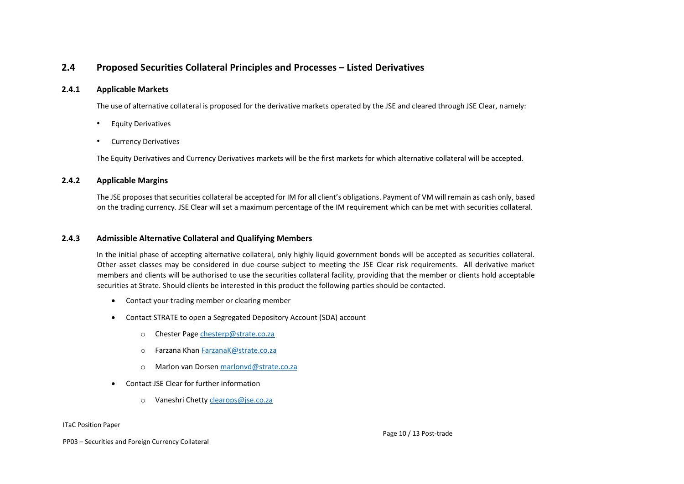### <span id="page-9-0"></span>**2.4 Proposed Securities Collateral Principles and Processes – Listed Derivatives**

#### <span id="page-9-1"></span>**2.4.1 Applicable Markets**

The use of alternative collateral is proposed for the derivative markets operated by the JSE and cleared through JSE Clear, namely:

- Equity Derivatives
- Currency Derivatives

The Equity Derivatives and Currency Derivatives markets will be the first markets for which alternative collateral will be accepted.

#### <span id="page-9-2"></span>**2.4.2 Applicable Margins**

The JSE proposes that securities collateral be accepted for IM for all client's obligations. Payment of VM will remain as cash only, based on the trading currency. JSE Clear will set a maximum percentage of the IM requirement which can be met with securities collateral.

#### <span id="page-9-3"></span>**2.4.3 Admissible Alternative Collateral and Qualifying Members**

In the initial phase of accepting alternative collateral, only highly liquid government bonds will be accepted as securities collateral. Other asset classes may be considered in due course subject to meeting the JSE Clear risk requirements. All derivative market members and clients will be authorised to use the securities collateral facility, providing that the member or clients hold acceptable securities at Strate. Should clients be interested in this product the following parties should be contacted.

- Contact your trading member or clearing member
- Contact STRATE to open a Segregated Depository Account (SDA) account
	- o Chester Pag[e chesterp@strate.co.za](mailto:chesterp@strate.co.za)
	- o Farzana Kha[n FarzanaK@strate.co.za](mailto:FarzanaK@strate.co.za)
	- o Marlon van Dorsen [marlonvd@strate.co.za](mailto:marlonvd@strate.co.za)
- Contact JSE Clear for further information
	- o Vaneshri Chetty [clearops@jse.co.za](mailto:clearops@jse.co.za)

#### ITaC Position Paper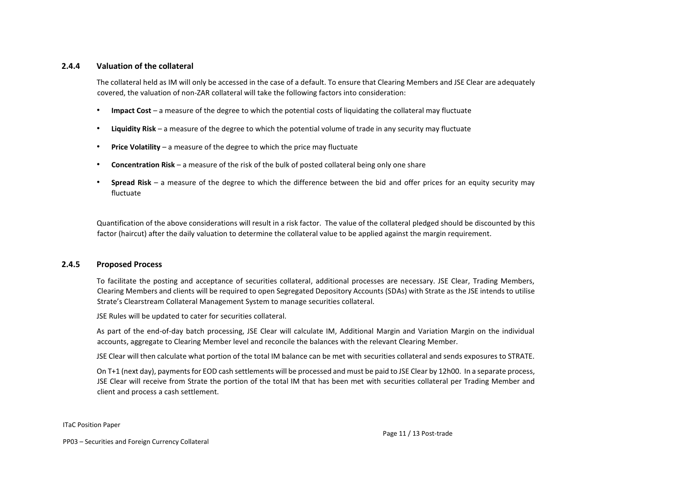#### <span id="page-10-0"></span>**2.4.4 Valuation of the collateral**

The collateral held as IM will only be accessed in the case of a default. To ensure that Clearing Members and JSE Clear are adequately covered, the valuation of non-ZAR collateral will take the following factors into consideration:

- **Impact Cost** a measure of the degree to which the potential costs of liquidating the collateral may fluctuate
- **Liquidity Risk** a measure of the degree to which the potential volume of trade in any security may fluctuate
- **Price Volatility** a measure of the degree to which the price may fluctuate
- **Concentration Risk** a measure of the risk of the bulk of posted collateral being only one share
- **Spread Risk** a measure of the degree to which the difference between the bid and offer prices for an equity security may fluctuate

Quantification of the above considerations will result in a risk factor. The value of the collateral pledged should be discounted by this factor (haircut) after the daily valuation to determine the collateral value to be applied against the margin requirement.

#### <span id="page-10-1"></span>**2.4.5 Proposed Process**

To facilitate the posting and acceptance of securities collateral, additional processes are necessary. JSE Clear, Trading Members, Clearing Members and clients will be required to open Segregated Depository Accounts (SDAs) with Strate as the JSE intends to utilise Strate's Clearstream Collateral Management System to manage securities collateral.

JSE Rules will be updated to cater for securities collateral.

As part of the end-of-day batch processing, JSE Clear will calculate IM, Additional Margin and Variation Margin on the individual accounts, aggregate to Clearing Member level and reconcile the balances with the relevant Clearing Member.

JSE Clear will then calculate what portion of the total IM balance can be met with securities collateral and sends exposures to STRATE.

On T+1 (next day), payments for EOD cash settlements will be processed and must be paid to JSE Clear by 12h00. In a separate process, JSE Clear will receive from Strate the portion of the total IM that has been met with securities collateral per Trading Member and client and process a cash settlement.

#### ITaC Position Paper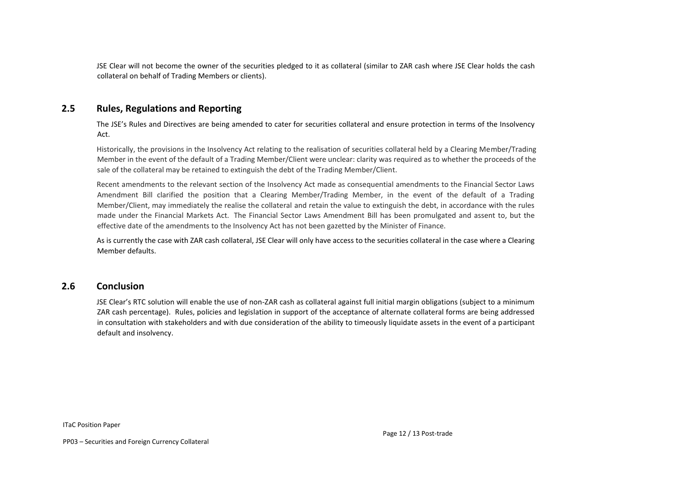JSE Clear will not become the owner of the securities pledged to it as collateral (similar to ZAR cash where JSE Clear holds the cash collateral on behalf of Trading Members or clients).

### <span id="page-11-0"></span>**2.5 Rules, Regulations and Reporting**

The JSE's Rules and Directives are being amended to cater for securities collateral and ensure protection in terms of the Insolvency Act.

Historically, the provisions in the Insolvency Act relating to the realisation of securities collateral held by a Clearing Member/Trading Member in the event of the default of a Trading Member/Client were unclear: clarity was required as to whether the proceeds of the sale of the collateral may be retained to extinguish the debt of the Trading Member/Client.

Recent amendments to the relevant section of the Insolvency Act made as consequential amendments to the Financial Sector Laws Amendment Bill clarified the position that a Clearing Member/Trading Member, in the event of the default of a Trading Member/Client, may immediately the realise the collateral and retain the value to extinguish the debt, in accordance with the rules made under the Financial Markets Act. The Financial Sector Laws Amendment Bill has been promulgated and assent to, but the effective date of the amendments to the Insolvency Act has not been gazetted by the Minister of Finance.

As is currently the case with ZAR cash collateral, JSE Clear will only have access to the securities collateral in the case where a Clearing Member defaults.

### <span id="page-11-1"></span>**2.6 Conclusion**

JSE Clear's RTC solution will enable the use of non-ZAR cash as collateral against full initial margin obligations (subject to a minimum ZAR cash percentage). Rules, policies and legislation in support of the acceptance of alternate collateral forms are being addressed in consultation with stakeholders and with due consideration of the ability to timeously liquidate assets in the event of a participant default and insolvency.